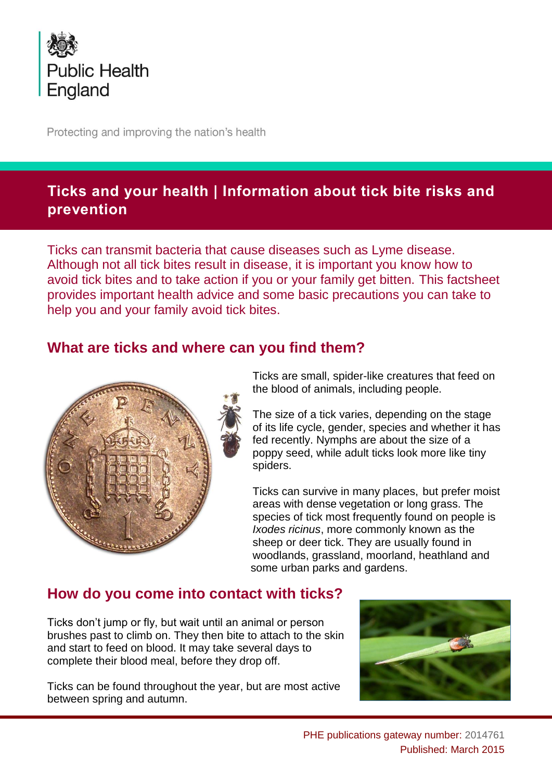

Protecting and improving the nation's health

## **Ticks and your health | Information about tick bite risks and prevention**

Ticks can transmit bacteria that cause diseases such as Lyme disease. Although not all tick bites result in disease, it is important you know how to avoid tick bites and to take action if you or your family get bitten. This factsheet provides important health advice and some basic precautions you can take to help you and your family avoid tick bites.

### **What are ticks and where can you find them?**



Ticks are small, spider-like creatures that feed on the blood of animals, including people.

The size of a tick varies, depending on the stage of its life cycle, gender, species and whether it has fed recently. Nymphs are about the size of a poppy seed, while adult ticks look more like tiny spiders.

Ticks can survive in many places, but prefer moist areas with dense vegetation or long grass. The species of tick most frequently found on people is *Ixodes ricinus*, more commonly known as the sheep or deer tick. They are usually found in woodlands, grassland, moorland, heathland and some urban parks and gardens.

## **How do you come into contact with ticks?**

Ticks don't jump or fly, but wait until an animal or person brushes past to climb on. They then bite to attach to the skin and start to feed on blood. It may take several days to complete their blood meal, before they drop off.

Ticks can be found throughout the year, but are most active between spring and autumn.

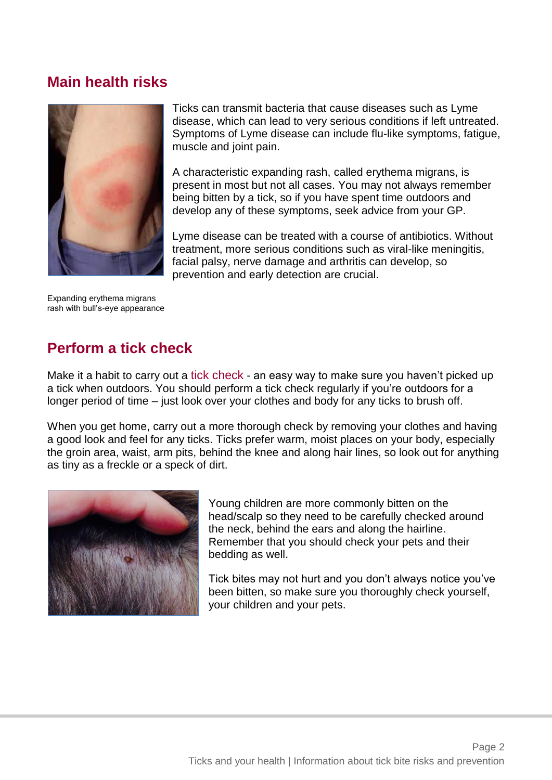### **Main health risks**



Ticks can transmit bacteria that cause diseases such as Lyme disease, which can lead to very serious conditions if left untreated. Symptoms of Lyme disease can include flu-like symptoms, fatigue, muscle and joint pain.

A characteristic expanding rash, called erythema migrans, is present in most but not all cases. You may not always remember being bitten by a tick, so if you have spent time outdoors and develop any of these symptoms, seek advice from your GP.

Lyme disease can be treated with a course of antibiotics. Without treatment, more serious conditions such as viral-like meningitis, facial palsy, nerve damage and arthritis can develop, so prevention and early detection are crucial.

Expanding erythema migrans rash with bull's-eye appearance

## **Perform a tick check**

Make it a habit to carry out a tick check - an easy way to make sure you haven't picked up a tick when outdoors. You should perform a tick check regularly if you're outdoors for a longer period of time – just look over your clothes and body for any ticks to brush off.

When you get home, carry out a more thorough check by removing your clothes and having a good look and feel for any ticks. Ticks prefer warm, moist places on your body, especially the groin area, waist, arm pits, behind the knee and along hair lines, so look out for anything as tiny as a freckle or a speck of dirt.



Young children are more commonly bitten on the head/scalp so they need to be carefully checked around the neck, behind the ears and along the hairline. Remember that you should check your pets and their bedding as well.

Tick bites may not hurt and you don't always notice you've been bitten, so make sure you thoroughly check yourself, your children and your pets.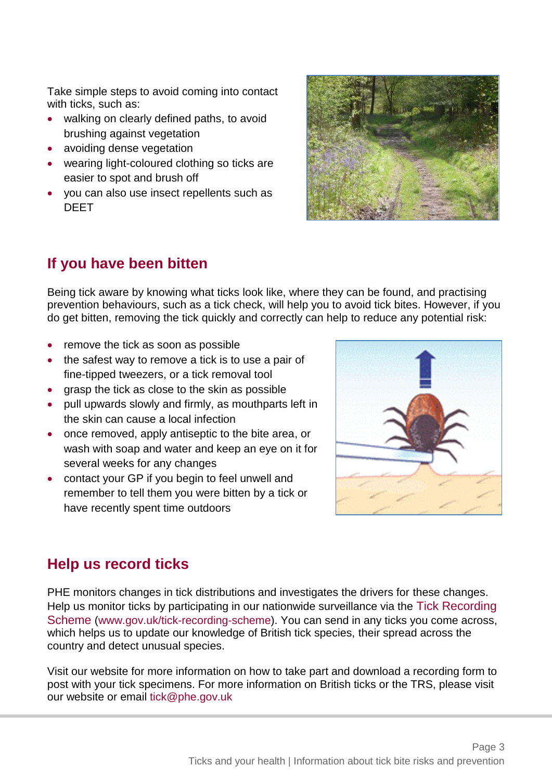Take simple steps to avoid coming into contact with ticks, such as:

- walking on clearly defined paths, to avoid brushing against vegetation
- avoiding dense vegetation
- wearing light-coloured clothing so ticks are easier to spot and brush off
- you can also use insect repellents such as DEET



# **If you have been bitten**

Being tick aware by knowing what ticks look like, where they can be found, and practising prevention behaviours, such as a tick check, will help you to avoid tick bites. However, if you do get bitten, removing the tick quickly and correctly can help to reduce any potential risk:

- remove the tick as soon as possible
- the safest way to remove a tick is to use a pair of fine-tipped tweezers, or a tick removal tool
- grasp the tick as close to the skin as possible
- pull upwards slowly and firmly, as mouthparts left in the skin can cause a local infection
- once removed, apply antiseptic to the bite area, or wash with soap and water and keep an eye on it for several weeks for any changes
- contact your GP if you begin to feel unwell and remember to tell them you were bitten by a tick or have recently spent time outdoors



### **Help us record ticks**

PHE monitors changes in tick distributions and investigates the drivers for these changes. Help us monitor ticks by participating in our nationwide surveillance via the Tick Recording Scheme [\(www.gov.uk/tick-recording-scheme\)](http://www.gov.uk/tick-recording-scheme). You can send in any ticks you come across, which helps us to update our knowledge of British tick species, their spread across the country and detect unusual species.

Visit our website for more information on how to take part and download a recording form to post with your tick specimens. For more information on British ticks or the TRS, please visit our website or email [tick@phe.gov.uk](mailto:tick@phe.gov.uk)